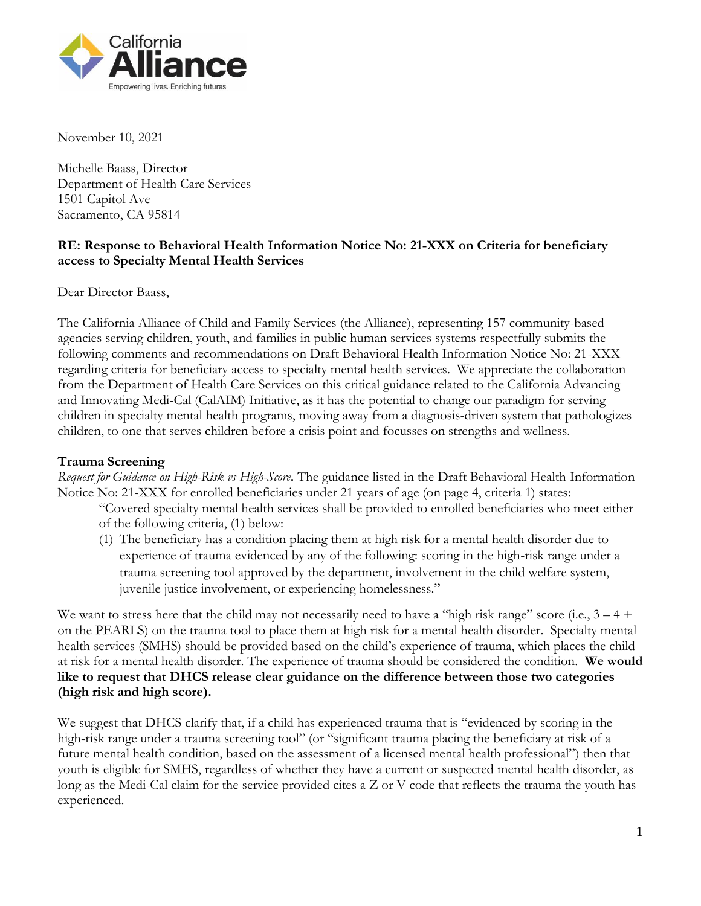

November 10, 2021

Michelle Baass, Director Department of Health Care Services 1501 Capitol Ave Sacramento, CA 95814

## **RE: Response to Behavioral Health Information Notice No: 21-XXX on Criteria for beneficiary access to Specialty Mental Health Services**

Dear Director Baass,

The California Alliance of Child and Family Services (the Alliance), representing 157 community-based agencies serving children, youth, and families in public human services systems respectfully submits the following comments and recommendations on Draft Behavioral Health Information Notice No: 21-XXX regarding criteria for beneficiary access to specialty mental health services. We appreciate the collaboration from the Department of Health Care Services on this critical guidance related to the California Advancing and Innovating Medi-Cal (CalAIM) Initiative, as it has the potential to change our paradigm for serving children in specialty mental health programs, moving away from a diagnosis-driven system that pathologizes children, to one that serves children before a crisis point and focusses on strengths and wellness.

### **Trauma Screening**

*Request for Guidance on High-Risk vs High-Score***.** The guidance listed in the Draft Behavioral Health Information Notice No: 21-XXX for enrolled beneficiaries under 21 years of age (on page 4, criteria 1) states:

"Covered specialty mental health services shall be provided to enrolled beneficiaries who meet either of the following criteria, (1) below:

(1) The beneficiary has a condition placing them at high risk for a mental health disorder due to experience of trauma evidenced by any of the following: scoring in the high-risk range under a trauma screening tool approved by the department, involvement in the child welfare system, juvenile justice involvement, or experiencing homelessness."

We want to stress here that the child may not necessarily need to have a "high risk range" score (i.e.,  $3 - 4 +$ on the PEARLS) on the trauma tool to place them at high risk for a mental health disorder. Specialty mental health services (SMHS) should be provided based on the child's experience of trauma, which places the child at risk for a mental health disorder. The experience of trauma should be considered the condition. **We would like to request that DHCS release clear guidance on the difference between those two categories (high risk and high score).**

We suggest that DHCS clarify that, if a child has experienced trauma that is "evidenced by scoring in the high-risk range under a trauma screening tool" (or "significant trauma placing the beneficiary at risk of a future mental health condition, based on the assessment of a licensed mental health professional") then that youth is eligible for SMHS, regardless of whether they have a current or suspected mental health disorder, as long as the Medi-Cal claim for the service provided cites a Z or V code that reflects the trauma the youth has experienced.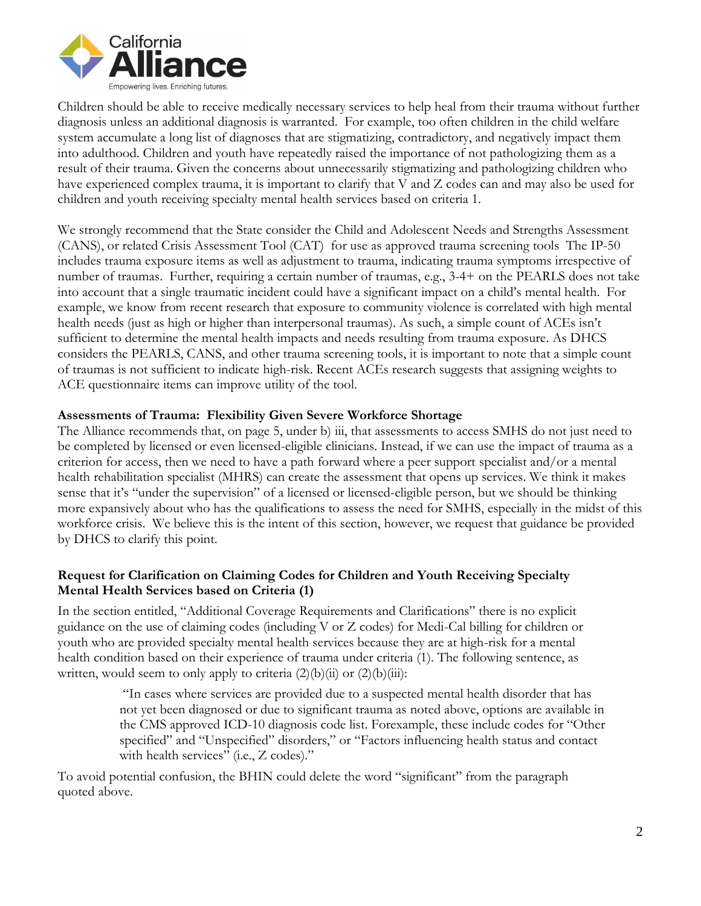

Children should be able to receive medically necessary services to help heal from their trauma without further diagnosis unless an additional diagnosis is warranted. For example, too often children in the child welfare system accumulate a long list of diagnoses that are stigmatizing, contradictory, and negatively impact them into adulthood. Children and youth have repeatedly raised the importance of not pathologizing them as a result of their trauma. Given the concerns about unnecessarily stigmatizing and pathologizing children who have experienced complex trauma, it is important to clarify that V and Z codes can and may also be used for children and youth receiving specialty mental health services based on criteria 1.

We strongly recommend that the State consider the Child and Adolescent Needs and Strengths Assessment (CANS), or related Crisis Assessment Tool (CAT) for use as approved trauma screening tools The IP-50 includes trauma exposure items as well as adjustment to trauma, indicating trauma symptoms irrespective of number of traumas. Further, requiring a certain number of traumas, e.g., 3-4+ on the PEARLS does not take into account that a single traumatic incident could have a significant impact on a child's mental health. For example, we know from recent research that exposure to community violence is correlated with high mental health needs (just as high or higher than interpersonal traumas). As such, a simple count of ACEs isn't sufficient to determine the mental health impacts and needs resulting from trauma exposure. As DHCS considers the PEARLS, CANS, and other trauma screening tools, it is important to note that a simple count of traumas is not sufficient to indicate high-risk. Recent ACEs research suggests that assigning weights to ACE questionnaire items can improve utility of the tool.

### **Assessments of Trauma: Flexibility Given Severe Workforce Shortage**

The Alliance recommends that, on page 5, under b) iii, that assessments to access SMHS do not just need to be completed by licensed or even licensed-eligible clinicians. Instead, if we can use the impact of trauma as a criterion for access, then we need to have a path forward where a peer support specialist and/or a mental health rehabilitation specialist (MHRS) can create the assessment that opens up services. We think it makes sense that it's "under the supervision" of a licensed or licensed-eligible person, but we should be thinking more expansively about who has the qualifications to assess the need for SMHS, especially in the midst of this workforce crisis. We believe this is the intent of this section, however, we request that guidance be provided by DHCS to clarify this point.

## **Request for Clarification on Claiming Codes for Children and Youth Receiving Specialty Mental Health Services based on Criteria (1)**

In the section entitled, "Additional Coverage Requirements and Clarifications" there is no explicit guidance on the use of claiming codes (including V or Z codes) for Medi-Cal billing for children or youth who are provided specialty mental health services because they are at high-risk for a mental health condition based on their experience of trauma under criteria (1). The following sentence, as written, would seem to only apply to criteria  $(2)(b)(ii)$  or  $(2)(b)(iii)$ :

> "In cases where services are provided due to a suspected mental health disorder that has not yet been diagnosed or due to significant trauma as noted above, options are available in the CMS approved ICD-10 diagnosis code list. Forexample, these include codes for "Other specified" and "Unspecified" disorders," or "Factors influencing health status and contact with health services" (i.e., Z codes)."

To avoid potential confusion, the BHIN could delete the word "significant" from the paragraph quoted above.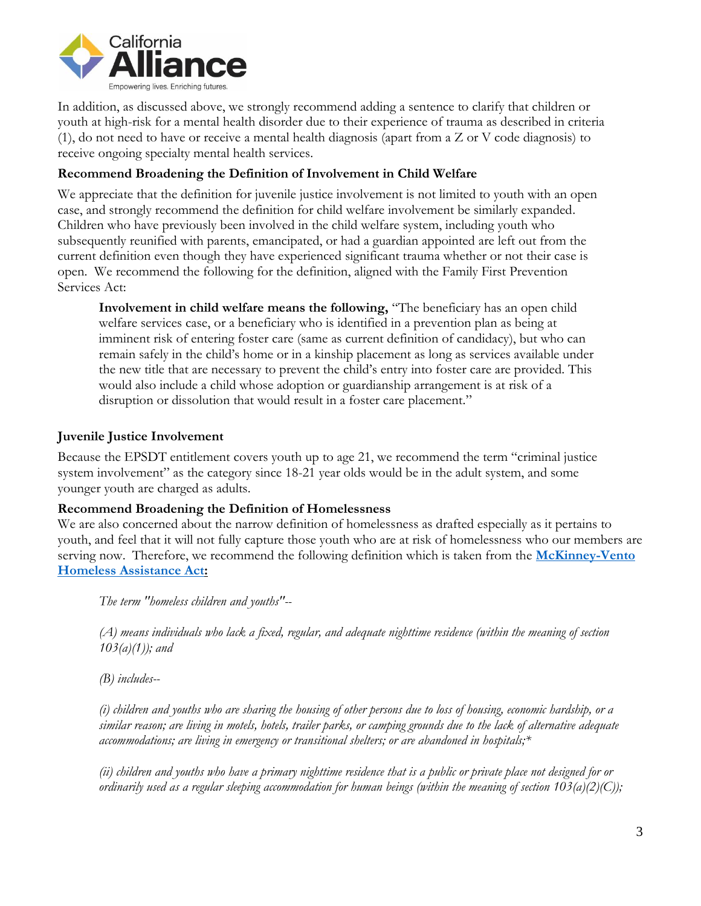

In addition, as discussed above, we strongly recommend adding a sentence to clarify that children or youth at high-risk for a mental health disorder due to their experience of trauma as described in criteria (1), do not need to have or receive a mental health diagnosis (apart from a Z or V code diagnosis) to receive ongoing specialty mental health services.

# **Recommend Broadening the Definition of Involvement in Child Welfare**

We appreciate that the definition for juvenile justice involvement is not limited to youth with an open case, and strongly recommend the definition for child welfare involvement be similarly expanded. Children who have previously been involved in the child welfare system, including youth who subsequently reunified with parents, emancipated, or had a guardian appointed are left out from the current definition even though they have experienced significant trauma whether or not their case is open. We recommend the following for the definition, aligned with the Family First Prevention Services Act:

**Involvement in child welfare means the following,** "The beneficiary has an open child welfare services case, or a beneficiary who is identified in a prevention plan as being at imminent risk of entering foster care (same as current definition of candidacy), but who can remain safely in the child's home or in a kinship placement as long as services available under the new title that are necessary to prevent the child's entry into foster care are provided. This would also include a child whose adoption or guardianship arrangement is at risk of a disruption or dissolution that would result in a foster care placement."

## **Juvenile Justice Involvement**

Because the EPSDT entitlement covers youth up to age 21, we recommend the term "criminal justice system involvement" as the category since 18-21 year olds would be in the adult system, and some younger youth are charged as adults.

### **Recommend Broadening the Definition of Homelessness**

We are also concerned about the narrow definition of homelessness as drafted especially as it pertains to youth, and feel that it will not fully capture those youth who are at risk of homelessness who our members are serving now. Therefore, we recommend the following definition which is taken from the **[McKinney-Vento](https://nche.ed.gov/legislation/mckinney-vento/) [Homeless Assistance Act:](https://nche.ed.gov/legislation/mckinney-vento/)**

*The term "homeless children and youths"--*

*(A) means individuals who lack a fixed, regular, and adequate nighttime residence (within the meaning of section 103(a)(1)); and*

*(B) includes--*

*(i) children and youths who are sharing the housing of other persons due to loss of housing, economic hardship, or a similar reason; are living in motels, hotels, trailer parks, or camping grounds due to the lack of alternative adequate accommodations; are living in emergency or transitional shelters; or are abandoned in hospitals;\** 

*(ii) children and youths who have a primary nighttime residence that is a public or private place not designed for or ordinarily used as a regular sleeping accommodation for human beings (within the meaning of section 103(a)(2)(C));*